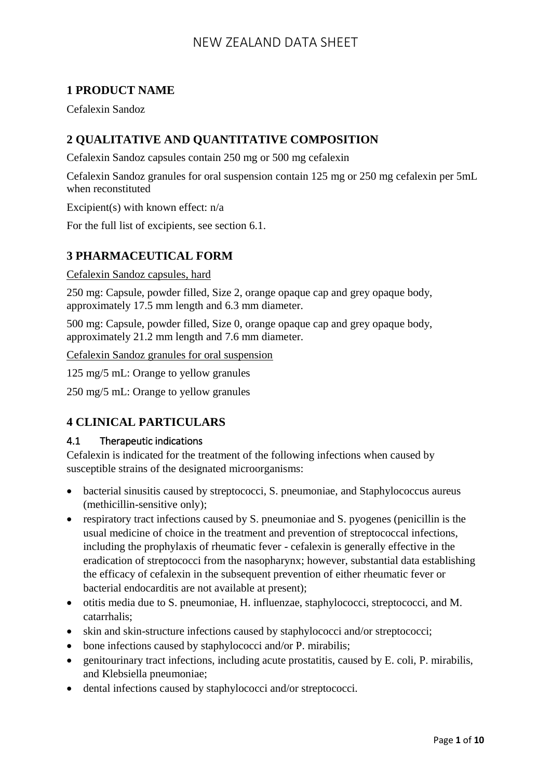## **1 PRODUCT NAME**

Cefalexin Sandoz

## **2 QUALITATIVE AND QUANTITATIVE COMPOSITION**

Cefalexin Sandoz capsules contain 250 mg or 500 mg cefalexin

Cefalexin Sandoz granules for oral suspension contain 125 mg or 250 mg cefalexin per 5mL when reconstituted

Excipient(s) with known effect: n/a

For the full list of excipients, see section 6.1.

## **3 PHARMACEUTICAL FORM**

Cefalexin Sandoz capsules, hard

250 mg: Capsule, powder filled, Size 2, orange opaque cap and grey opaque body, approximately 17.5 mm length and 6.3 mm diameter.

500 mg: Capsule, powder filled, Size 0, orange opaque cap and grey opaque body, approximately 21.2 mm length and 7.6 mm diameter.

Cefalexin Sandoz granules for oral suspension

125 mg/5 mL: Orange to yellow granules

250 mg/5 mL: Orange to yellow granules

### **4 CLINICAL PARTICULARS**

#### 4.1 Therapeutic indications

Cefalexin is indicated for the treatment of the following infections when caused by susceptible strains of the designated microorganisms:

- bacterial sinusitis caused by streptococci, S. pneumoniae, and Staphylococcus aureus (methicillin-sensitive only);
- respiratory tract infections caused by S. pneumoniae and S. pyogenes (penicillin is the usual medicine of choice in the treatment and prevention of streptococcal infections, including the prophylaxis of rheumatic fever - cefalexin is generally effective in the eradication of streptococci from the nasopharynx; however, substantial data establishing the efficacy of cefalexin in the subsequent prevention of either rheumatic fever or bacterial endocarditis are not available at present);
- otitis media due to S. pneumoniae, H. influenzae, staphylococci, streptococci, and M. catarrhalis;
- skin and skin-structure infections caused by staphylococci and/or streptococci;
- bone infections caused by staphylococci and/or P. mirabilis;
- genitourinary tract infections, including acute prostatitis, caused by E. coli, P. mirabilis, and Klebsiella pneumoniae;
- dental infections caused by staphylococci and/or streptococci.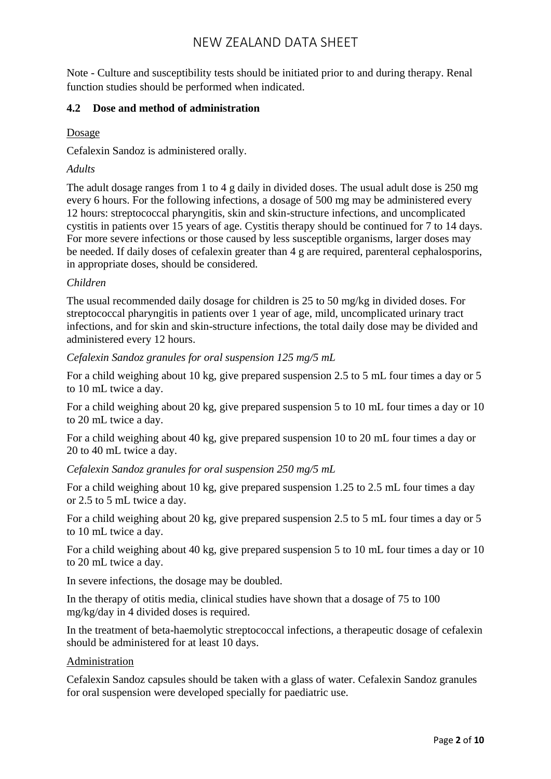Note - Culture and susceptibility tests should be initiated prior to and during therapy. Renal function studies should be performed when indicated.

### **4.2 Dose and method of administration**

Dosage

Cefalexin Sandoz is administered orally.

#### *Adults*

The adult dosage ranges from 1 to 4 g daily in divided doses. The usual adult dose is 250 mg every 6 hours. For the following infections, a dosage of 500 mg may be administered every 12 hours: streptococcal pharyngitis, skin and skin-structure infections, and uncomplicated cystitis in patients over 15 years of age. Cystitis therapy should be continued for 7 to 14 days. For more severe infections or those caused by less susceptible organisms, larger doses may be needed. If daily doses of cefalexin greater than 4 g are required, parenteral cephalosporins, in appropriate doses, should be considered.

#### *Children*

The usual recommended daily dosage for children is 25 to 50 mg/kg in divided doses. For streptococcal pharyngitis in patients over 1 year of age, mild, uncomplicated urinary tract infections, and for skin and skin-structure infections, the total daily dose may be divided and administered every 12 hours.

*Cefalexin Sandoz granules for oral suspension 125 mg/5 mL*

For a child weighing about 10 kg, give prepared suspension 2.5 to 5 mL four times a day or 5 to 10 mL twice a day.

For a child weighing about 20 kg, give prepared suspension 5 to 10 mL four times a day or 10 to 20 mL twice a day.

For a child weighing about 40 kg, give prepared suspension 10 to 20 mL four times a day or 20 to 40 mL twice a day.

*Cefalexin Sandoz granules for oral suspension 250 mg/5 mL*

For a child weighing about 10 kg, give prepared suspension 1.25 to 2.5 mL four times a day or 2.5 to 5 mL twice a day.

For a child weighing about 20 kg, give prepared suspension 2.5 to 5 mL four times a day or 5 to 10 mL twice a day.

For a child weighing about 40 kg, give prepared suspension 5 to 10 mL four times a day or 10 to 20 mL twice a day.

In severe infections, the dosage may be doubled.

In the therapy of otitis media, clinical studies have shown that a dosage of 75 to 100 mg/kg/day in 4 divided doses is required.

In the treatment of beta-haemolytic streptococcal infections, a therapeutic dosage of cefalexin should be administered for at least 10 days.

#### Administration

Cefalexin Sandoz capsules should be taken with a glass of water. Cefalexin Sandoz granules for oral suspension were developed specially for paediatric use.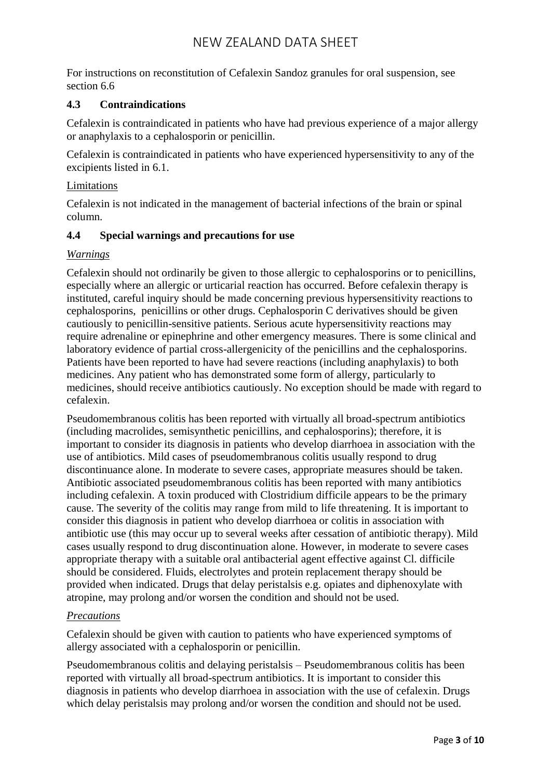For instructions on reconstitution of Cefalexin Sandoz granules for oral suspension, see section 6.6

#### **4.3 Contraindications**

Cefalexin is contraindicated in patients who have had previous experience of a major allergy or anaphylaxis to a cephalosporin or penicillin.

Cefalexin is contraindicated in patients who have experienced hypersensitivity to any of the excipients listed in 6.1.

#### Limitations

Cefalexin is not indicated in the management of bacterial infections of the brain or spinal column.

#### **4.4 Special warnings and precautions for use**

#### *Warnings*

Cefalexin should not ordinarily be given to those allergic to cephalosporins or to penicillins, especially where an allergic or urticarial reaction has occurred. Before cefalexin therapy is instituted, careful inquiry should be made concerning previous hypersensitivity reactions to cephalosporins, penicillins or other drugs. Cephalosporin C derivatives should be given cautiously to penicillin-sensitive patients. Serious acute hypersensitivity reactions may require adrenaline or epinephrine and other emergency measures. There is some clinical and laboratory evidence of partial cross-allergenicity of the penicillins and the cephalosporins. Patients have been reported to have had severe reactions (including anaphylaxis) to both medicines. Any patient who has demonstrated some form of allergy, particularly to medicines, should receive antibiotics cautiously. No exception should be made with regard to cefalexin.

Pseudomembranous colitis has been reported with virtually all broad-spectrum antibiotics (including macrolides, semisynthetic penicillins, and cephalosporins); therefore, it is important to consider its diagnosis in patients who develop diarrhoea in association with the use of antibiotics. Mild cases of pseudomembranous colitis usually respond to drug discontinuance alone. In moderate to severe cases, appropriate measures should be taken. Antibiotic associated pseudomembranous colitis has been reported with many antibiotics including cefalexin. A toxin produced with Clostridium difficile appears to be the primary cause. The severity of the colitis may range from mild to life threatening. It is important to consider this diagnosis in patient who develop diarrhoea or colitis in association with antibiotic use (this may occur up to several weeks after cessation of antibiotic therapy). Mild cases usually respond to drug discontinuation alone. However, in moderate to severe cases appropriate therapy with a suitable oral antibacterial agent effective against Cl. difficile should be considered. Fluids, electrolytes and protein replacement therapy should be provided when indicated. Drugs that delay peristalsis e.g. opiates and diphenoxylate with atropine, may prolong and/or worsen the condition and should not be used.

#### *Precautions*

Cefalexin should be given with caution to patients who have experienced symptoms of allergy associated with a cephalosporin or penicillin.

Pseudomembranous colitis and delaying peristalsis – Pseudomembranous colitis has been reported with virtually all broad-spectrum antibiotics. It is important to consider this diagnosis in patients who develop diarrhoea in association with the use of cefalexin. Drugs which delay peristalsis may prolong and/or worsen the condition and should not be used.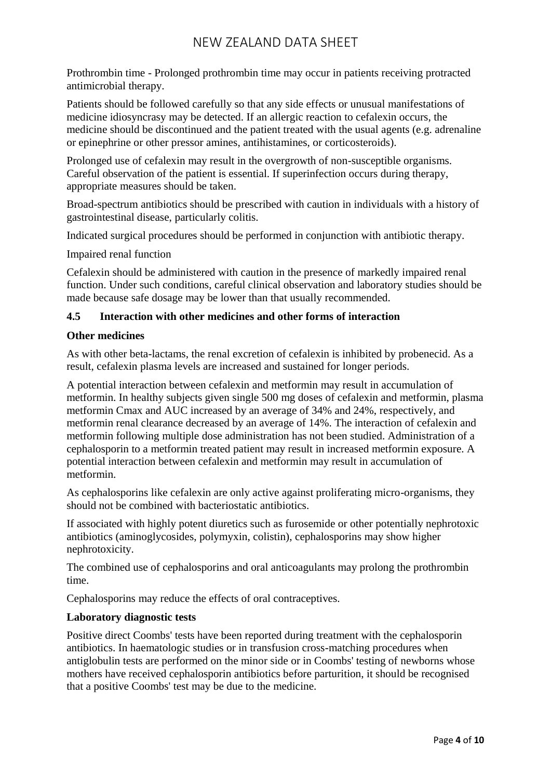Prothrombin time - Prolonged prothrombin time may occur in patients receiving protracted antimicrobial therapy.

Patients should be followed carefully so that any side effects or unusual manifestations of medicine idiosyncrasy may be detected. If an allergic reaction to cefalexin occurs, the medicine should be discontinued and the patient treated with the usual agents (e.g. adrenaline or epinephrine or other pressor amines, antihistamines, or corticosteroids).

Prolonged use of cefalexin may result in the overgrowth of non-susceptible organisms. Careful observation of the patient is essential. If superinfection occurs during therapy, appropriate measures should be taken.

Broad-spectrum antibiotics should be prescribed with caution in individuals with a history of gastrointestinal disease, particularly colitis.

Indicated surgical procedures should be performed in conjunction with antibiotic therapy.

Impaired renal function

Cefalexin should be administered with caution in the presence of markedly impaired renal function. Under such conditions, careful clinical observation and laboratory studies should be made because safe dosage may be lower than that usually recommended.

#### **4.5 Interaction with other medicines and other forms of interaction**

#### **Other medicines**

As with other beta-lactams, the renal excretion of cefalexin is inhibited by probenecid. As a result, cefalexin plasma levels are increased and sustained for longer periods.

A potential interaction between cefalexin and metformin may result in accumulation of metformin. In healthy subjects given single 500 mg doses of cefalexin and metformin, plasma metformin Cmax and AUC increased by an average of 34% and 24%, respectively, and metformin renal clearance decreased by an average of 14%. The interaction of cefalexin and metformin following multiple dose administration has not been studied. Administration of a cephalosporin to a metformin treated patient may result in increased metformin exposure. A potential interaction between cefalexin and metformin may result in accumulation of metformin.

As cephalosporins like cefalexin are only active against proliferating micro-organisms, they should not be combined with bacteriostatic antibiotics.

If associated with highly potent diuretics such as furosemide or other potentially nephrotoxic antibiotics (aminoglycosides, polymyxin, colistin), cephalosporins may show higher nephrotoxicity.

The combined use of cephalosporins and oral anticoagulants may prolong the prothrombin time.

Cephalosporins may reduce the effects of oral contraceptives.

### **Laboratory diagnostic tests**

Positive direct Coombs' tests have been reported during treatment with the cephalosporin antibiotics. In haematologic studies or in transfusion cross-matching procedures when antiglobulin tests are performed on the minor side or in Coombs' testing of newborns whose mothers have received cephalosporin antibiotics before parturition, it should be recognised that a positive Coombs' test may be due to the medicine.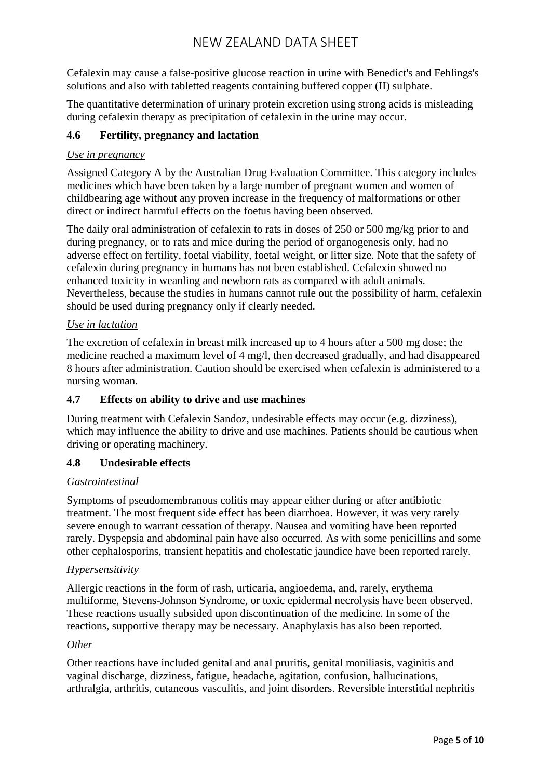Cefalexin may cause a false-positive glucose reaction in urine with Benedict's and Fehlings's solutions and also with tabletted reagents containing buffered copper (II) sulphate.

The quantitative determination of urinary protein excretion using strong acids is misleading during cefalexin therapy as precipitation of cefalexin in the urine may occur.

### **4.6 Fertility, pregnancy and lactation**

### *Use in pregnancy*

Assigned Category A by the Australian Drug Evaluation Committee. This category includes medicines which have been taken by a large number of pregnant women and women of childbearing age without any proven increase in the frequency of malformations or other direct or indirect harmful effects on the foetus having been observed.

The daily oral administration of cefalexin to rats in doses of 250 or 500 mg/kg prior to and during pregnancy, or to rats and mice during the period of organogenesis only, had no adverse effect on fertility, foetal viability, foetal weight, or litter size. Note that the safety of cefalexin during pregnancy in humans has not been established. Cefalexin showed no enhanced toxicity in weanling and newborn rats as compared with adult animals. Nevertheless, because the studies in humans cannot rule out the possibility of harm, cefalexin should be used during pregnancy only if clearly needed.

#### *Use in lactation*

The excretion of cefalexin in breast milk increased up to 4 hours after a 500 mg dose; the medicine reached a maximum level of 4 mg/l, then decreased gradually, and had disappeared 8 hours after administration. Caution should be exercised when cefalexin is administered to a nursing woman.

### **4.7 Effects on ability to drive and use machines**

During treatment with Cefalexin Sandoz, undesirable effects may occur (e.g. dizziness), which may influence the ability to drive and use machines. Patients should be cautious when driving or operating machinery.

### **4.8 Undesirable effects**

#### *Gastrointestinal*

Symptoms of pseudomembranous colitis may appear either during or after antibiotic treatment. The most frequent side effect has been diarrhoea. However, it was very rarely severe enough to warrant cessation of therapy. Nausea and vomiting have been reported rarely. Dyspepsia and abdominal pain have also occurred. As with some penicillins and some other cephalosporins, transient hepatitis and cholestatic jaundice have been reported rarely.

### *Hypersensitivity*

Allergic reactions in the form of rash, urticaria, angioedema, and, rarely, erythema multiforme, Stevens-Johnson Syndrome, or toxic epidermal necrolysis have been observed. These reactions usually subsided upon discontinuation of the medicine. In some of the reactions, supportive therapy may be necessary. Anaphylaxis has also been reported.

#### *Other*

Other reactions have included genital and anal pruritis, genital moniliasis, vaginitis and vaginal discharge, dizziness, fatigue, headache, agitation, confusion, hallucinations, arthralgia, arthritis, cutaneous vasculitis, and joint disorders. Reversible interstitial nephritis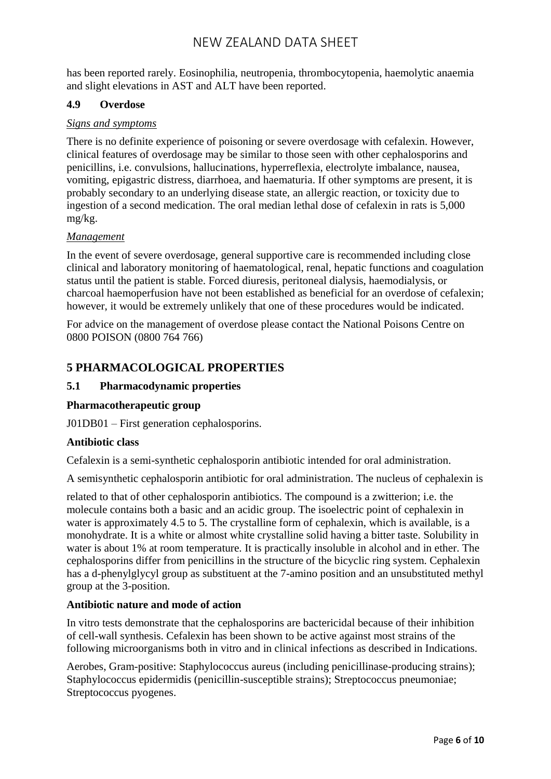has been reported rarely. Eosinophilia, neutropenia, thrombocytopenia, haemolytic anaemia and slight elevations in AST and ALT have been reported.

#### **4.9 Overdose**

#### *Signs and symptoms*

There is no definite experience of poisoning or severe overdosage with cefalexin. However, clinical features of overdosage may be similar to those seen with other cephalosporins and penicillins, i.e. convulsions, hallucinations, hyperreflexia, electrolyte imbalance, nausea, vomiting, epigastric distress, diarrhoea, and haematuria. If other symptoms are present, it is probably secondary to an underlying disease state, an allergic reaction, or toxicity due to ingestion of a second medication. The oral median lethal dose of cefalexin in rats is 5,000 mg/kg.

#### *Management*

In the event of severe overdosage, general supportive care is recommended including close clinical and laboratory monitoring of haematological, renal, hepatic functions and coagulation status until the patient is stable. Forced diuresis, peritoneal dialysis, haemodialysis, or charcoal haemoperfusion have not been established as beneficial for an overdose of cefalexin; however, it would be extremely unlikely that one of these procedures would be indicated.

For advice on the management of overdose please contact the National Poisons Centre on 0800 POISON (0800 764 766)

## **5 PHARMACOLOGICAL PROPERTIES**

#### **5.1 Pharmacodynamic properties**

#### **Pharmacotherapeutic group**

J01DB01 – First generation cephalosporins.

#### **Antibiotic class**

Cefalexin is a semi-synthetic cephalosporin antibiotic intended for oral administration.

A semisynthetic cephalosporin antibiotic for oral administration. The nucleus of cephalexin is

related to that of other cephalosporin antibiotics. The compound is a zwitterion; i.e. the molecule contains both a basic and an acidic group. The isoelectric point of cephalexin in water is approximately 4.5 to 5. The crystalline form of cephalexin, which is available, is a monohydrate. It is a white or almost white crystalline solid having a bitter taste. Solubility in water is about 1% at room temperature. It is practically insoluble in alcohol and in ether. The cephalosporins differ from penicillins in the structure of the bicyclic ring system. Cephalexin has a d-phenylglycyl group as substituent at the 7-amino position and an unsubstituted methyl group at the 3-position.

#### **Antibiotic nature and mode of action**

In vitro tests demonstrate that the cephalosporins are bactericidal because of their inhibition of cell-wall synthesis. Cefalexin has been shown to be active against most strains of the following microorganisms both in vitro and in clinical infections as described in Indications.

Aerobes, Gram-positive: Staphylococcus aureus (including penicillinase-producing strains); Staphylococcus epidermidis (penicillin-susceptible strains); Streptococcus pneumoniae; Streptococcus pyogenes.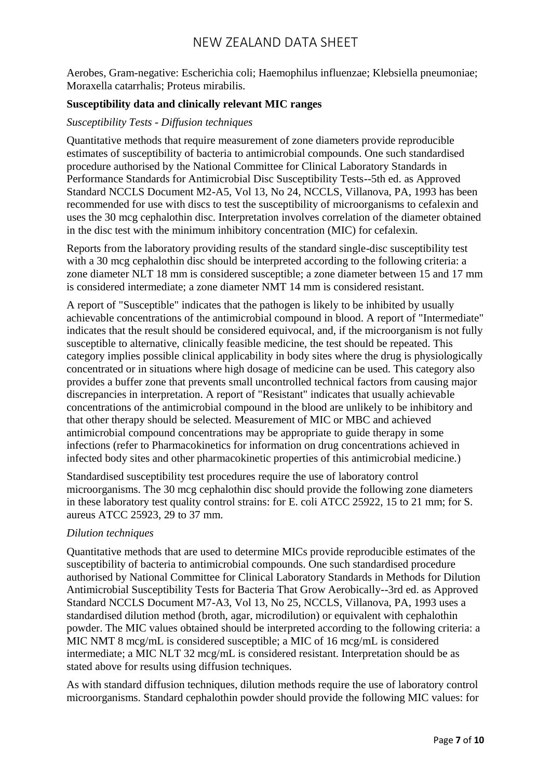Aerobes, Gram-negative: Escherichia coli; Haemophilus influenzae; Klebsiella pneumoniae; Moraxella catarrhalis; Proteus mirabilis.

#### **Susceptibility data and clinically relevant MIC ranges**

#### *Susceptibility Tests - Diffusion techniques*

Quantitative methods that require measurement of zone diameters provide reproducible estimates of susceptibility of bacteria to antimicrobial compounds. One such standardised procedure authorised by the National Committee for Clinical Laboratory Standards in Performance Standards for Antimicrobial Disc Susceptibility Tests--5th ed. as Approved Standard NCCLS Document M2-A5, Vol 13, No 24, NCCLS, Villanova, PA, 1993 has been recommended for use with discs to test the susceptibility of microorganisms to cefalexin and uses the 30 mcg cephalothin disc. Interpretation involves correlation of the diameter obtained in the disc test with the minimum inhibitory concentration (MIC) for cefalexin.

Reports from the laboratory providing results of the standard single-disc susceptibility test with a 30 mcg cephalothin disc should be interpreted according to the following criteria: a zone diameter NLT 18 mm is considered susceptible; a zone diameter between 15 and 17 mm is considered intermediate; a zone diameter NMT 14 mm is considered resistant.

A report of "Susceptible" indicates that the pathogen is likely to be inhibited by usually achievable concentrations of the antimicrobial compound in blood. A report of "Intermediate" indicates that the result should be considered equivocal, and, if the microorganism is not fully susceptible to alternative, clinically feasible medicine, the test should be repeated. This category implies possible clinical applicability in body sites where the drug is physiologically concentrated or in situations where high dosage of medicine can be used. This category also provides a buffer zone that prevents small uncontrolled technical factors from causing major discrepancies in interpretation. A report of "Resistant" indicates that usually achievable concentrations of the antimicrobial compound in the blood are unlikely to be inhibitory and that other therapy should be selected. Measurement of MIC or MBC and achieved antimicrobial compound concentrations may be appropriate to guide therapy in some infections (refer to Pharmacokinetics for information on drug concentrations achieved in infected body sites and other pharmacokinetic properties of this antimicrobial medicine.)

Standardised susceptibility test procedures require the use of laboratory control microorganisms. The 30 mcg cephalothin disc should provide the following zone diameters in these laboratory test quality control strains: for E. coli ATCC 25922, 15 to 21 mm; for S. aureus ATCC 25923, 29 to 37 mm.

#### *Dilution techniques*

Quantitative methods that are used to determine MICs provide reproducible estimates of the susceptibility of bacteria to antimicrobial compounds. One such standardised procedure authorised by National Committee for Clinical Laboratory Standards in Methods for Dilution Antimicrobial Susceptibility Tests for Bacteria That Grow Aerobically--3rd ed. as Approved Standard NCCLS Document M7-A3, Vol 13, No 25, NCCLS, Villanova, PA, 1993 uses a standardised dilution method (broth, agar, microdilution) or equivalent with cephalothin powder. The MIC values obtained should be interpreted according to the following criteria: a MIC NMT 8 mcg/mL is considered susceptible; a MIC of 16 mcg/mL is considered intermediate; a MIC NLT 32 mcg/mL is considered resistant. Interpretation should be as stated above for results using diffusion techniques.

As with standard diffusion techniques, dilution methods require the use of laboratory control microorganisms. Standard cephalothin powder should provide the following MIC values: for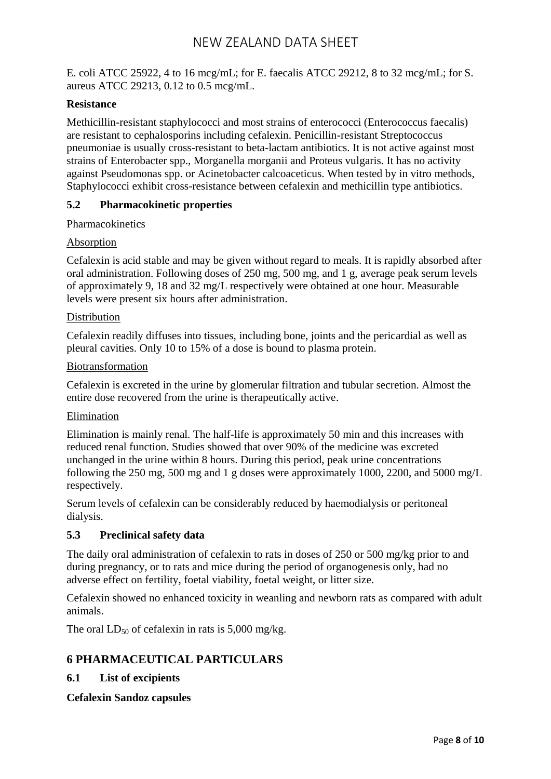E. coli ATCC 25922, 4 to 16 mcg/mL; for E. faecalis ATCC 29212, 8 to 32 mcg/mL; for S. aureus ATCC 29213, 0.12 to 0.5 mcg/mL.

#### **Resistance**

Methicillin-resistant staphylococci and most strains of enterococci (Enterococcus faecalis) are resistant to cephalosporins including cefalexin. Penicillin-resistant Streptococcus pneumoniae is usually cross-resistant to beta-lactam antibiotics. It is not active against most strains of Enterobacter spp., Morganella morganii and Proteus vulgaris. It has no activity against Pseudomonas spp. or Acinetobacter calcoaceticus. When tested by in vitro methods, Staphylococci exhibit cross-resistance between cefalexin and methicillin type antibiotics.

#### **5.2 Pharmacokinetic properties**

Pharmacokinetics

#### Absorption

Cefalexin is acid stable and may be given without regard to meals. It is rapidly absorbed after oral administration. Following doses of 250 mg, 500 mg, and 1 g, average peak serum levels of approximately 9, 18 and 32 mg/L respectively were obtained at one hour. Measurable levels were present six hours after administration.

#### **Distribution**

Cefalexin readily diffuses into tissues, including bone, joints and the pericardial as well as pleural cavities. Only 10 to 15% of a dose is bound to plasma protein.

#### Biotransformation

Cefalexin is excreted in the urine by glomerular filtration and tubular secretion. Almost the entire dose recovered from the urine is therapeutically active.

#### Elimination

Elimination is mainly renal. The half-life is approximately 50 min and this increases with reduced renal function. Studies showed that over 90% of the medicine was excreted unchanged in the urine within 8 hours. During this period, peak urine concentrations following the 250 mg, 500 mg and 1 g doses were approximately 1000, 2200, and 5000 mg/L respectively.

Serum levels of cefalexin can be considerably reduced by haemodialysis or peritoneal dialysis.

#### **5.3 Preclinical safety data**

The daily oral administration of cefalexin to rats in doses of 250 or 500 mg/kg prior to and during pregnancy, or to rats and mice during the period of organogenesis only, had no adverse effect on fertility, foetal viability, foetal weight, or litter size.

Cefalexin showed no enhanced toxicity in weanling and newborn rats as compared with adult animals.

The oral  $LD_{50}$  of cefalexin in rats is 5,000 mg/kg.

### **6 PHARMACEUTICAL PARTICULARS**

#### **6.1 List of excipients**

**Cefalexin Sandoz capsules**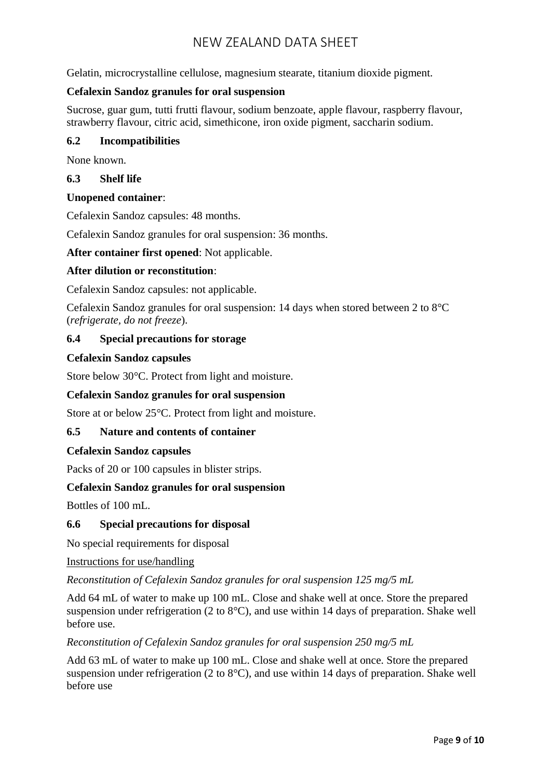Gelatin, microcrystalline cellulose, magnesium stearate, titanium dioxide pigment.

#### **Cefalexin Sandoz granules for oral suspension**

Sucrose, guar gum, tutti frutti flavour, sodium benzoate, apple flavour, raspberry flavour, strawberry flavour, citric acid, simethicone, iron oxide pigment, saccharin sodium.

#### **6.2 Incompatibilities**

None known.

#### **6.3 Shelf life**

#### **Unopened container**:

Cefalexin Sandoz capsules: 48 months.

Cefalexin Sandoz granules for oral suspension: 36 months.

**After container first opened**: Not applicable.

#### **After dilution or reconstitution**:

Cefalexin Sandoz capsules: not applicable.

Cefalexin Sandoz granules for oral suspension: 14 days when stored between 2 to 8°C (*refrigerate, do not freeze*).

#### **6.4 Special precautions for storage**

#### **Cefalexin Sandoz capsules**

Store below 30°C. Protect from light and moisture.

#### **Cefalexin Sandoz granules for oral suspension**

Store at or below 25°C. Protect from light and moisture.

#### **6.5 Nature and contents of container**

#### **Cefalexin Sandoz capsules**

Packs of 20 or 100 capsules in blister strips.

#### **Cefalexin Sandoz granules for oral suspension**

Bottles of 100 mL.

#### **6.6 Special precautions for disposal**

No special requirements for disposal

#### Instructions for use/handling

*Reconstitution of Cefalexin Sandoz granules for oral suspension 125 mg/5 mL*

Add 64 mL of water to make up 100 mL. Close and shake well at once. Store the prepared suspension under refrigeration (2 to 8°C), and use within 14 days of preparation. Shake well before use.

*Reconstitution of Cefalexin Sandoz granules for oral suspension 250 mg/5 mL*

Add 63 mL of water to make up 100 mL. Close and shake well at once. Store the prepared suspension under refrigeration (2 to 8°C), and use within 14 days of preparation. Shake well before use